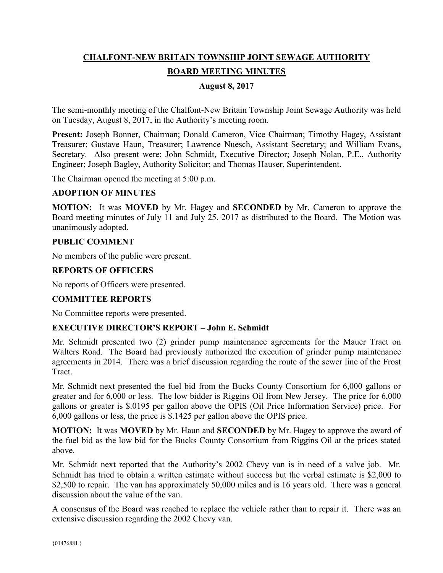# **CHALFONT-NEW BRITAIN TOWNSHIP JOINT SEWAGE AUTHORITY BOARD MEETING MINUTES**

# **August 8, 2017**

The semi-monthly meeting of the Chalfont-New Britain Township Joint Sewage Authority was held on Tuesday, August 8, 2017, in the Authority's meeting room.

**Present:** Joseph Bonner, Chairman; Donald Cameron, Vice Chairman; Timothy Hagey, Assistant Treasurer; Gustave Haun, Treasurer; Lawrence Nuesch, Assistant Secretary; and William Evans, Secretary. Also present were: John Schmidt, Executive Director; Joseph Nolan, P.E., Authority Engineer; Joseph Bagley, Authority Solicitor; and Thomas Hauser, Superintendent.

The Chairman opened the meeting at 5:00 p.m.

#### **ADOPTION OF MINUTES**

**MOTION:** It was **MOVED** by Mr. Hagey and **SECONDED** by Mr. Cameron to approve the Board meeting minutes of July 11 and July 25, 2017 as distributed to the Board. The Motion was unanimously adopted.

#### **PUBLIC COMMENT**

No members of the public were present.

# **REPORTS OF OFFICERS**

No reports of Officers were presented.

# **COMMITTEE REPORTS**

No Committee reports were presented.

# **EXECUTIVE DIRECTOR'S REPORT – John E. Schmidt**

Mr. Schmidt presented two (2) grinder pump maintenance agreements for the Mauer Tract on Walters Road. The Board had previously authorized the execution of grinder pump maintenance agreements in 2014. There was a brief discussion regarding the route of the sewer line of the Frost Tract.

Mr. Schmidt next presented the fuel bid from the Bucks County Consortium for 6,000 gallons or greater and for 6,000 or less. The low bidder is Riggins Oil from New Jersey. The price for 6,000 gallons or greater is \$.0195 per gallon above the OPIS (Oil Price Information Service) price. For 6,000 gallons or less, the price is \$.1425 per gallon above the OPIS price.

**MOTION:** It was **MOVED** by Mr. Haun and **SECONDED** by Mr. Hagey to approve the award of the fuel bid as the low bid for the Bucks County Consortium from Riggins Oil at the prices stated above.

Mr. Schmidt next reported that the Authority's 2002 Chevy van is in need of a valve job. Mr. Schmidt has tried to obtain a written estimate without success but the verbal estimate is \$2,000 to \$2,500 to repair. The van has approximately 50,000 miles and is 16 years old. There was a general discussion about the value of the van.

A consensus of the Board was reached to replace the vehicle rather than to repair it. There was an extensive discussion regarding the 2002 Chevy van.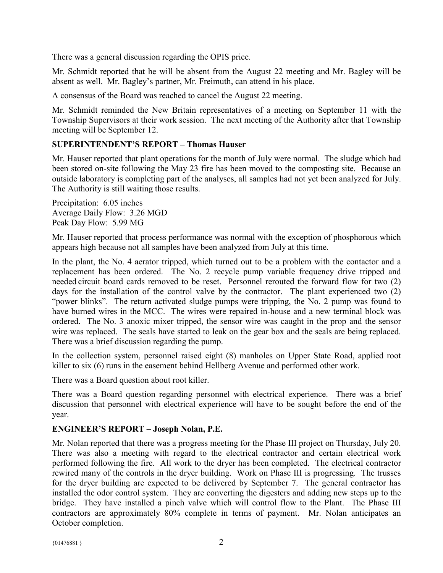There was a general discussion regarding the OPIS price.

Mr. Schmidt reported that he will be absent from the August 22 meeting and Mr. Bagley will be absent as well. Mr. Bagley's partner, Mr. Freimuth, can attend in his place.

A consensus of the Board was reached to cancel the August 22 meeting.

Mr. Schmidt reminded the New Britain representatives of a meeting on September 11 with the Township Supervisors at their work session. The next meeting of the Authority after that Township meeting will be September 12.

# **SUPERINTENDENT'S REPORT – Thomas Hauser**

Mr. Hauser reported that plant operations for the month of July were normal. The sludge which had been stored on-site following the May 23 fire has been moved to the composting site. Because an outside laboratory is completing part of the analyses, all samples had not yet been analyzed for July. The Authority is still waiting those results.

Precipitation: 6.05 inches Average Daily Flow: 3.26 MGD Peak Day Flow: 5.99 MG

Mr. Hauser reported that process performance was normal with the exception of phosphorous which appears high because not all samples have been analyzed from July at this time.

In the plant, the No. 4 aerator tripped, which turned out to be a problem with the contactor and a replacement has been ordered. The No. 2 recycle pump variable frequency drive tripped and needed circuit board cards removed to be reset. Personnel rerouted the forward flow for two (2) days for the installation of the control valve by the contractor. The plant experienced two (2) "power blinks". The return activated sludge pumps were tripping, the No. 2 pump was found to have burned wires in the MCC. The wires were repaired in-house and a new terminal block was ordered. The No. 3 anoxic mixer tripped, the sensor wire was caught in the prop and the sensor wire was replaced. The seals have started to leak on the gear box and the seals are being replaced. There was a brief discussion regarding the pump.

In the collection system, personnel raised eight (8) manholes on Upper State Road, applied root killer to six (6) runs in the easement behind Hellberg Avenue and performed other work.

There was a Board question about root killer.

There was a Board question regarding personnel with electrical experience. There was a brief discussion that personnel with electrical experience will have to be sought before the end of the year.

# **ENGINEER'S REPORT – Joseph Nolan, P.E.**

Mr. Nolan reported that there was a progress meeting for the Phase III project on Thursday, July 20. There was also a meeting with regard to the electrical contractor and certain electrical work performed following the fire. All work to the dryer has been completed. The electrical contractor rewired many of the controls in the dryer building. Work on Phase III is progressing. The trusses for the dryer building are expected to be delivered by September 7. The general contractor has installed the odor control system. They are converting the digesters and adding new steps up to the bridge. They have installed a pinch valve which will control flow to the Plant. The Phase III contractors are approximately 80% complete in terms of payment. Mr. Nolan anticipates an October completion.